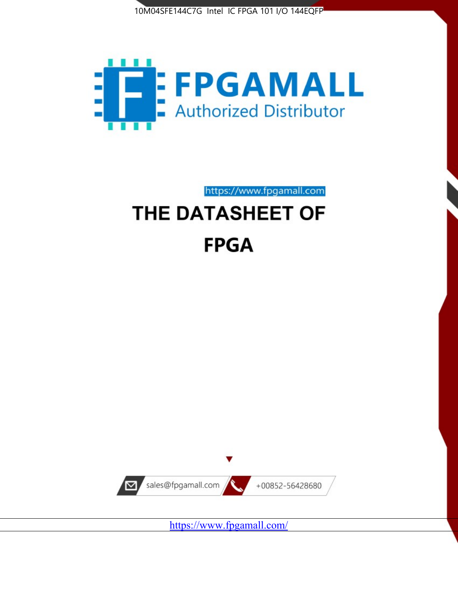



https://www.fpgamall.com THE DATASHEET OF

# **FPGA**



<https://www.fpgamall.com/>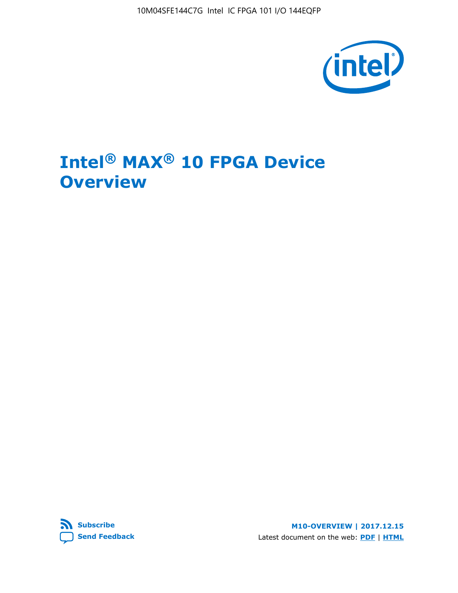10M04SFE144C7G Intel IC FPGA 101 I/O 144EQFP



# **Intel® MAX® 10 FPGA Device Overview**



**M10-OVERVIEW | 2017.12.15** Latest document on the web: **[PDF](https://www.altera.com/en_US/pdfs/literature/hb/max-10/m10_overview.pdf)** | **[HTML](https://www.altera.com/documentation/myt1396938463674.html)**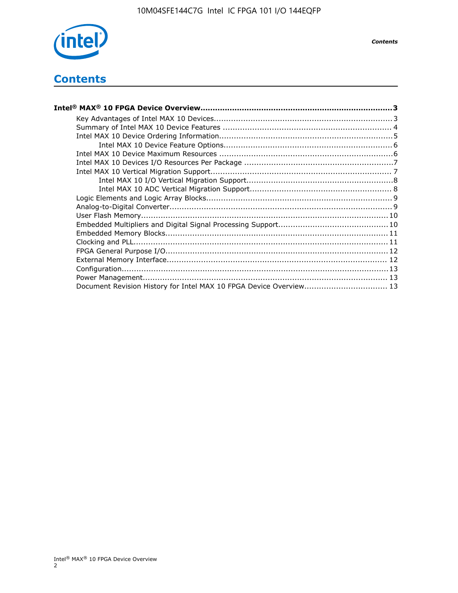

## **Contents**

| Intel® MAX® 10 FPGA Device Overview……………………………………………………………………………3  |  |
|--------------------------------------------------------------------|--|
|                                                                    |  |
|                                                                    |  |
|                                                                    |  |
|                                                                    |  |
|                                                                    |  |
|                                                                    |  |
|                                                                    |  |
|                                                                    |  |
|                                                                    |  |
|                                                                    |  |
|                                                                    |  |
|                                                                    |  |
|                                                                    |  |
|                                                                    |  |
|                                                                    |  |
|                                                                    |  |
|                                                                    |  |
|                                                                    |  |
|                                                                    |  |
| Document Revision History for Intel MAX 10 FPGA Device Overview 13 |  |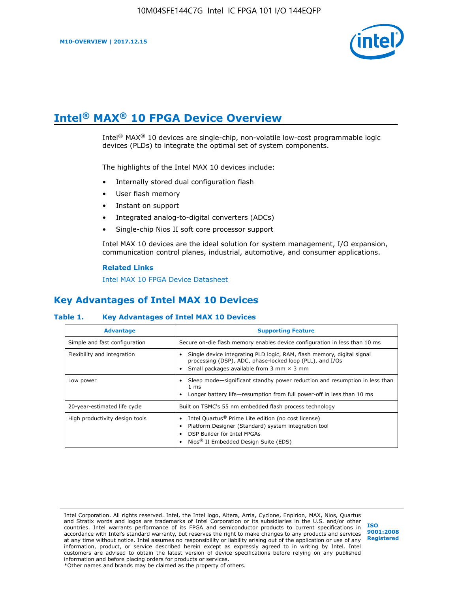

# **Intel® MAX® 10 FPGA Device Overview**

Intel® MAX® 10 devices are single-chip, non-volatile low-cost programmable logic devices (PLDs) to integrate the optimal set of system components.

The highlights of the Intel MAX 10 devices include:

- Internally stored dual configuration flash
- User flash memory
- Instant on support
- Integrated analog-to-digital converters (ADCs)
- Single-chip Nios II soft core processor support

Intel MAX 10 devices are the ideal solution for system management, I/O expansion, communication control planes, industrial, automotive, and consumer applications.

#### **Related Links**

[Intel MAX 10 FPGA Device Datasheet](https://www.altera.com/documentation/mcn1397700832153.html#mcn1397643748870)

## **Key Advantages of Intel MAX 10 Devices**

#### **Table 1. Key Advantages of Intel MAX 10 Devices**

| <b>Advantage</b>               | <b>Supporting Feature</b>                                                                                                                                                                                  |  |  |  |  |
|--------------------------------|------------------------------------------------------------------------------------------------------------------------------------------------------------------------------------------------------------|--|--|--|--|
| Simple and fast configuration  | Secure on-die flash memory enables device configuration in less than 10 ms                                                                                                                                 |  |  |  |  |
| Flexibility and integration    | Single device integrating PLD logic, RAM, flash memory, digital signal<br>processing (DSP), ADC, phase-locked loop (PLL), and I/Os<br>Small packages available from 3 mm $\times$ 3 mm                     |  |  |  |  |
| Low power                      | Sleep mode—significant standby power reduction and resumption in less than<br>$1 \text{ ms}$<br>Longer battery life—resumption from full power-off in less than 10 ms                                      |  |  |  |  |
| 20-year-estimated life cycle   | Built on TSMC's 55 nm embedded flash process technology                                                                                                                                                    |  |  |  |  |
| High productivity design tools | Intel Quartus <sup>®</sup> Prime Lite edition (no cost license)<br>Platform Designer (Standard) system integration tool<br>DSP Builder for Intel FPGAs<br>Nios <sup>®</sup> II Embedded Design Suite (EDS) |  |  |  |  |

Intel Corporation. All rights reserved. Intel, the Intel logo, Altera, Arria, Cyclone, Enpirion, MAX, Nios, Quartus and Stratix words and logos are trademarks of Intel Corporation or its subsidiaries in the U.S. and/or other countries. Intel warrants performance of its FPGA and semiconductor products to current specifications in accordance with Intel's standard warranty, but reserves the right to make changes to any products and services at any time without notice. Intel assumes no responsibility or liability arising out of the application or use of any information, product, or service described herein except as expressly agreed to in writing by Intel. Intel customers are advised to obtain the latest version of device specifications before relying on any published information and before placing orders for products or services. \*Other names and brands may be claimed as the property of others.

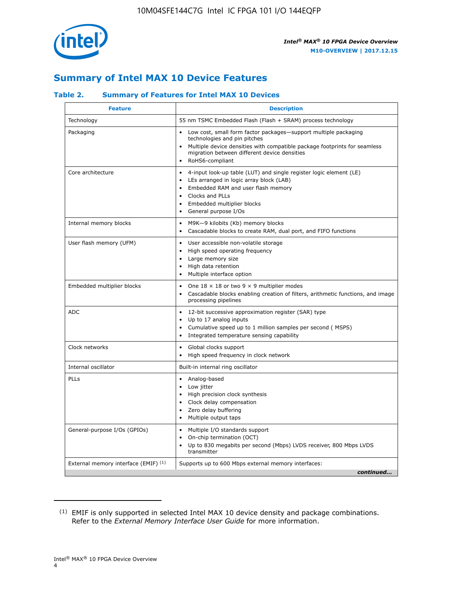

## **Summary of Intel MAX 10 Device Features**

## **Table 2. Summary of Features for Intel MAX 10 Devices**

| <b>Feature</b>                       | <b>Description</b>                                                                                                                                                                                                                                                                            |
|--------------------------------------|-----------------------------------------------------------------------------------------------------------------------------------------------------------------------------------------------------------------------------------------------------------------------------------------------|
| Technology                           | 55 nm TSMC Embedded Flash (Flash + SRAM) process technology                                                                                                                                                                                                                                   |
| Packaging                            | Low cost, small form factor packages-support multiple packaging<br>technologies and pin pitches<br>Multiple device densities with compatible package footprints for seamless<br>migration between different device densities<br>RoHS6-compliant                                               |
| Core architecture                    | 4-input look-up table (LUT) and single register logic element (LE)<br>$\bullet$<br>LEs arranged in logic array block (LAB)<br>$\bullet$<br>Embedded RAM and user flash memory<br>$\bullet$<br>Clocks and PLLs<br>$\bullet$<br>Embedded multiplier blocks<br>General purpose I/Os<br>$\bullet$ |
| Internal memory blocks               | M9K-9 kilobits (Kb) memory blocks<br>$\bullet$<br>Cascadable blocks to create RAM, dual port, and FIFO functions<br>$\bullet$                                                                                                                                                                 |
| User flash memory (UFM)              | User accessible non-volatile storage<br>$\bullet$<br>High speed operating frequency<br>$\bullet$<br>Large memory size<br>High data retention<br>$\bullet$<br>Multiple interface option                                                                                                        |
| Embedded multiplier blocks           | One $18 \times 18$ or two 9 $\times$ 9 multiplier modes<br>$\bullet$<br>Cascadable blocks enabling creation of filters, arithmetic functions, and image<br>processing pipelines                                                                                                               |
| <b>ADC</b>                           | 12-bit successive approximation register (SAR) type<br>$\bullet$<br>Up to 17 analog inputs<br>$\bullet$<br>Cumulative speed up to 1 million samples per second (MSPS)<br>Integrated temperature sensing capability<br>$\bullet$                                                               |
| Clock networks                       | Global clocks support<br>$\bullet$<br>High speed frequency in clock network                                                                                                                                                                                                                   |
| Internal oscillator                  | Built-in internal ring oscillator                                                                                                                                                                                                                                                             |
| PLLs                                 | Analog-based<br>$\bullet$<br>Low jitter<br>High precision clock synthesis<br>$\bullet$<br>Clock delay compensation<br>$\bullet$<br>Zero delay buffering<br>٠<br>Multiple output taps<br>$\bullet$                                                                                             |
| General-purpose I/Os (GPIOs)         | Multiple I/O standards support<br>$\bullet$<br>On-chip termination (OCT)<br>٠<br>Up to 830 megabits per second (Mbps) LVDS receiver, 800 Mbps LVDS<br>transmitter                                                                                                                             |
| External memory interface (EMIF) (1) | Supports up to 600 Mbps external memory interfaces:<br>continued                                                                                                                                                                                                                              |
|                                      |                                                                                                                                                                                                                                                                                               |

<sup>(1)</sup> EMIF is only supported in selected Intel MAX 10 device density and package combinations. Refer to the *External Memory Interface User Guide* for more information.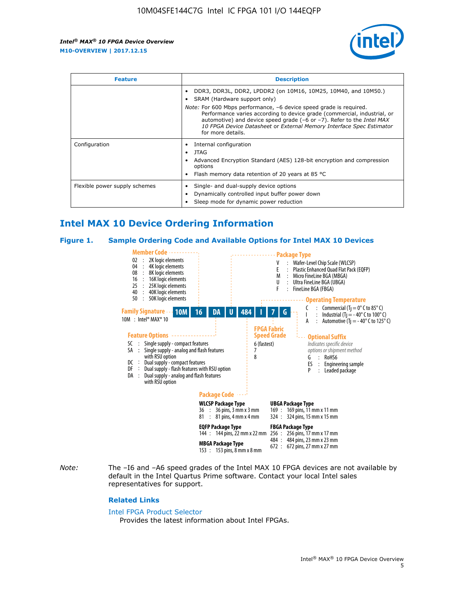

| <b>Feature</b>                | <b>Description</b>                                                                                                                                                                                                                                                                                                                             |  |  |  |
|-------------------------------|------------------------------------------------------------------------------------------------------------------------------------------------------------------------------------------------------------------------------------------------------------------------------------------------------------------------------------------------|--|--|--|
|                               | DDR3, DDR3L, DDR2, LPDDR2 (on 10M16, 10M25, 10M40, and 10M50.)<br>SRAM (Hardware support only)                                                                                                                                                                                                                                                 |  |  |  |
|                               | <i>Note:</i> For 600 Mbps performance, -6 device speed grade is required.<br>Performance varies according to device grade (commercial, industrial, or<br>automotive) and device speed grade $(-6 \text{ or } -7)$ . Refer to the <i>Intel MAX</i><br>10 FPGA Device Datasheet or External Memory Interface Spec Estimator<br>for more details. |  |  |  |
| Configuration                 | Internal configuration                                                                                                                                                                                                                                                                                                                         |  |  |  |
|                               | JTAG<br>٠                                                                                                                                                                                                                                                                                                                                      |  |  |  |
|                               | Advanced Encryption Standard (AES) 128-bit encryption and compression<br>options                                                                                                                                                                                                                                                               |  |  |  |
|                               | Flash memory data retention of 20 years at 85 $^{\circ}$ C                                                                                                                                                                                                                                                                                     |  |  |  |
| Flexible power supply schemes | Single- and dual-supply device options                                                                                                                                                                                                                                                                                                         |  |  |  |
|                               | Dynamically controlled input buffer power down                                                                                                                                                                                                                                                                                                 |  |  |  |
|                               | Sleep mode for dynamic power reduction                                                                                                                                                                                                                                                                                                         |  |  |  |

## **Intel MAX 10 Device Ordering Information**

#### **Figure 1. Sample Ordering Code and Available Options for Intel MAX 10 Devices**



*Note:* The –I6 and –A6 speed grades of the Intel MAX 10 FPGA devices are not available by default in the Intel Quartus Prime software. Contact your local Intel sales representatives for support.

#### **Related Links**

#### [Intel FPGA Product Selector](http://www.altera.com/products/selector/psg-selector.html)

Provides the latest information about Intel FPGAs.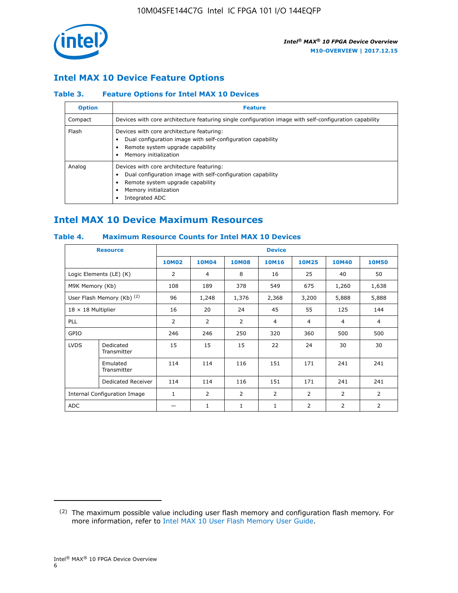

## **Intel MAX 10 Device Feature Options**

## **Table 3. Feature Options for Intel MAX 10 Devices**

| <b>Option</b> | <b>Feature</b>                                                                                                                                                                          |
|---------------|-----------------------------------------------------------------------------------------------------------------------------------------------------------------------------------------|
| Compact       | Devices with core architecture featuring single configuration image with self-configuration capability                                                                                  |
| Flash         | Devices with core architecture featuring:<br>Dual configuration image with self-configuration capability<br>Remote system upgrade capability<br>Memory initialization                   |
| Analog        | Devices with core architecture featuring:<br>Dual configuration image with self-configuration capability<br>Remote system upgrade capability<br>Memory initialization<br>Integrated ADC |

## **Intel MAX 10 Device Maximum Resources**

## **Table 4. Maximum Resource Counts for Intel MAX 10 Devices**

|                           | <b>Resource</b>              | <b>Device</b>  |              |              |                |                |              |                |
|---------------------------|------------------------------|----------------|--------------|--------------|----------------|----------------|--------------|----------------|
|                           |                              | <b>10M02</b>   | <b>10M04</b> | <b>10M08</b> | <b>10M16</b>   | <b>10M25</b>   | <b>10M40</b> | <b>10M50</b>   |
|                           | Logic Elements (LE) (K)      | $\overline{2}$ | 4            | 8            | 16             | 25             | 40           | 50             |
| M9K Memory (Kb)           |                              | 108            | 189          | 378          | 549            | 675            | 1,260        | 1,638          |
|                           | User Flash Memory (Kb) (2)   | 96             | 1,248        | 1,376        | 2,368          | 3,200          | 5,888        | 5,888          |
| $18 \times 18$ Multiplier |                              | 16             | 20           | 24           | 45             | 55             | 125          | 144            |
| <b>PLL</b>                |                              | 2              | 2            | 2            | $\overline{4}$ | $\overline{4}$ | 4            | $\overline{4}$ |
| GPIO                      |                              | 246            | 246          | 250          | 320            | 360            | 500          | 500            |
| <b>LVDS</b>               | Dedicated<br>Transmitter     | 15             | 15           | 15           | 22             | 24             | 30           | 30             |
|                           | Emulated<br>Transmitter      | 114            | 114          | 116          | 151            | 171            | 241          | 241            |
|                           | Dedicated Receiver           | 114            | 114          | 116          | 151            | 171            | 241          | 241            |
|                           | Internal Configuration Image | $\mathbf{1}$   | 2            | 2            | $\overline{2}$ | 2              | 2            | $\overline{2}$ |
| <b>ADC</b>                |                              |                | 1            | 1            | $\mathbf{1}$   | 2              | 2            | 2              |

<sup>(2)</sup> The maximum possible value including user flash memory and configuration flash memory. For more information, refer to [Intel MAX 10 User Flash Memory User Guide](https://www.altera.com/documentation/vgo1395753117436.html#vgo1395811844282).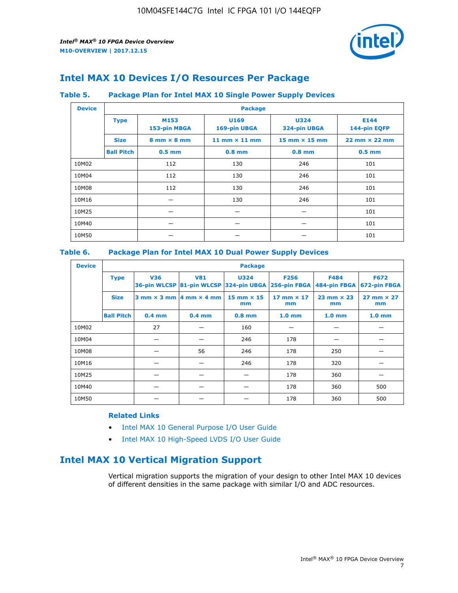

## **Intel MAX 10 Devices I/O Resources Per Package**

#### **Table 5. Package Plan for Intel MAX 10 Single Power Supply Devices**

| <b>Device</b> |                   | <b>Package</b>                     |                      |                                      |                                      |  |  |  |
|---------------|-------------------|------------------------------------|----------------------|--------------------------------------|--------------------------------------|--|--|--|
|               | <b>Type</b>       | M153<br>153-pin MBGA               | U169<br>169-pin UBGA | <b>U324</b><br>324-pin UBGA          | E144<br>144-pin EQFP                 |  |  |  |
|               | <b>Size</b>       | $8 \text{ mm} \times 8 \text{ mm}$ | 11 mm $\times$ 11 mm | $15 \text{ mm} \times 15 \text{ mm}$ | $22 \text{ mm} \times 22 \text{ mm}$ |  |  |  |
|               | <b>Ball Pitch</b> | $0.5$ mm                           | $0.8$ mm             | $0.8$ mm                             | $0.5$ mm                             |  |  |  |
| 10M02         |                   | 112                                | 130                  | 246                                  | 101                                  |  |  |  |
| 10M04         |                   | 112                                | 130                  | 246                                  | 101                                  |  |  |  |
| 10M08         | 112<br>130        |                                    | 246                  | 101                                  |                                      |  |  |  |
| 10M16         |                   |                                    | 130                  | 246                                  | 101                                  |  |  |  |
| 10M25         |                   |                                    |                      |                                      | 101                                  |  |  |  |
| 10M40         |                   | –                                  |                      |                                      | 101                                  |  |  |  |
| 10M50         |                   |                                    |                      |                                      | 101                                  |  |  |  |

## **Table 6. Package Plan for Intel MAX 10 Dual Power Supply Devices**

| <b>Device</b> |                   | <b>Package</b> |                                            |                                                                    |                         |                           |                             |  |  |
|---------------|-------------------|----------------|--------------------------------------------|--------------------------------------------------------------------|-------------------------|---------------------------|-----------------------------|--|--|
|               | <b>Type</b>       | <b>V36</b>     | <b>V81</b>                                 | <b>U324</b><br>36-pin WLCSP 81-pin WLCSP 324-pin UBGA 256-pin FBGA | <b>F256</b>             | F484<br>484-pin FBGA      | <b>F672</b><br>672-pin FBGA |  |  |
|               | <b>Size</b>       |                | $3$ mm $\times$ 3 mm $ 4$ mm $\times$ 4 mm | 15 mm $\times$ 15<br>mm                                            | 17 mm $\times$ 17<br>mm | $23$ mm $\times$ 23<br>mm | $27$ mm $\times$ 27<br>mm   |  |  |
|               | <b>Ball Pitch</b> | $0.4$ mm       | $0.4$ mm                                   | $0.8$ mm                                                           | 1.0 <sub>mm</sub>       | 1.0 <sub>mm</sub>         | 1.0 <sub>mm</sub>           |  |  |
| 10M02         |                   | 27             |                                            | 160                                                                |                         |                           |                             |  |  |
| 10M04         |                   |                |                                            | 246                                                                | 178                     |                           |                             |  |  |
| 10M08         |                   |                | 56                                         | 246                                                                | 178                     | 250                       |                             |  |  |
| 10M16         |                   |                |                                            | 246                                                                | 178                     | 320                       |                             |  |  |
| 10M25         |                   |                |                                            |                                                                    | 178                     | 360                       |                             |  |  |
| 10M40         |                   |                |                                            |                                                                    | 178                     | 360                       | 500                         |  |  |
| 10M50         |                   |                |                                            |                                                                    | 178                     | 360                       | 500                         |  |  |

## **Related Links**

- [Intel MAX 10 General Purpose I/O User Guide](https://www.altera.com/documentation/sam1393999966669.html#sam1394000084476)
- [Intel MAX 10 High-Speed LVDS I/O User Guide](https://www.altera.com/documentation/sam1394433606063.html#sam1394433911642)

## **Intel MAX 10 Vertical Migration Support**

Vertical migration supports the migration of your design to other Intel MAX 10 devices of different densities in the same package with similar I/O and ADC resources.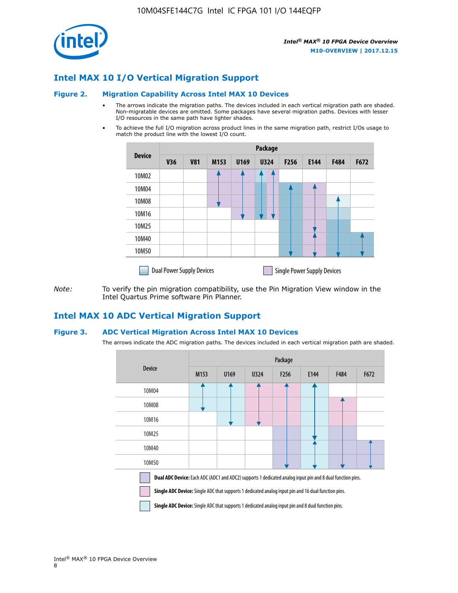

## **Intel MAX 10 I/O Vertical Migration Support**

#### **Figure 2. Migration Capability Across Intel MAX 10 Devices**

- The arrows indicate the migration paths. The devices included in each vertical migration path are shaded. Non-migratable devices are omitted. Some packages have several migration paths. Devices with lesser I/O resources in the same path have lighter shades.
- To achieve the full I/O migration across product lines in the same migration path, restrict I/Os usage to match the product line with the lowest I/O count.

|               | <b>Package</b>                   |            |      |      |             |      |                                    |      |      |
|---------------|----------------------------------|------------|------|------|-------------|------|------------------------------------|------|------|
| <b>Device</b> | <b>V36</b>                       | <b>V81</b> | M153 | U169 | <b>U324</b> | F256 | E144                               | F484 | F672 |
| 10M02         |                                  |            |      |      | 7           |      |                                    |      |      |
| 10M04         |                                  |            |      |      |             |      |                                    |      |      |
| 10M08         |                                  |            |      |      |             |      |                                    |      |      |
| 10M16         |                                  |            |      |      |             |      |                                    |      |      |
| 10M25         |                                  |            |      |      |             |      |                                    |      |      |
| 10M40         |                                  |            |      |      |             |      |                                    |      |      |
| 10M50         |                                  |            |      |      |             |      |                                    |      |      |
|               | <b>Dual Power Supply Devices</b> |            |      |      |             |      | <b>Single Power Supply Devices</b> |      |      |

*Note:* To verify the pin migration compatibility, use the Pin Migration View window in the Intel Quartus Prime software Pin Planner.

## **Intel MAX 10 ADC Vertical Migration Support**

#### **Figure 3. ADC Vertical Migration Across Intel MAX 10 Devices**

The arrows indicate the ADC migration paths. The devices included in each vertical migration path are shaded.

|                                                                                                                                                                                                                         | Package |      |      |                  |      |             |      |  |  |
|-------------------------------------------------------------------------------------------------------------------------------------------------------------------------------------------------------------------------|---------|------|------|------------------|------|-------------|------|--|--|
| <b>Device</b>                                                                                                                                                                                                           | M153    | U169 | U324 | F <sub>256</sub> | E144 | <b>F484</b> | F672 |  |  |
| 10M04                                                                                                                                                                                                                   |         |      |      |                  |      |             |      |  |  |
| 10M08                                                                                                                                                                                                                   |         |      |      |                  |      |             |      |  |  |
| 10M16                                                                                                                                                                                                                   |         |      |      |                  |      |             |      |  |  |
| 10M25                                                                                                                                                                                                                   |         |      |      |                  |      |             |      |  |  |
| 10M40                                                                                                                                                                                                                   |         |      |      |                  |      |             |      |  |  |
| 10M50                                                                                                                                                                                                                   |         |      |      |                  |      |             |      |  |  |
| <b>Dual ADC Device:</b> Each ADC (ADC1 and ADC2) supports 1 dedicated analog input pin and 8 dual function pins.<br>Single ADC Device: Single ADC that supports 1 dedicated analog input pin and 16 dual function pins. |         |      |      |                  |      |             |      |  |  |

**Single ADC Device:** Single ADC that supports 1 dedicated analog input pin and 8 dual function pins.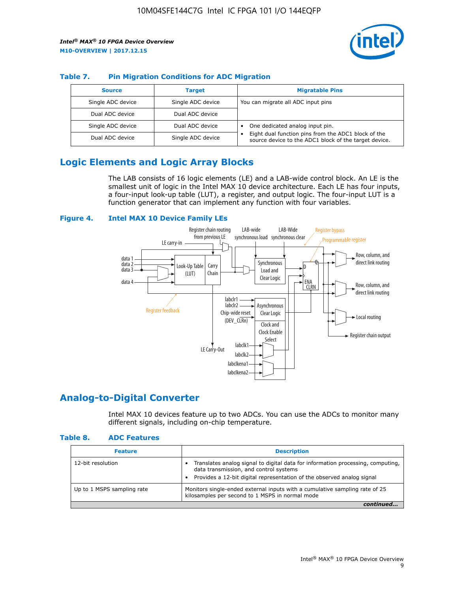

## **Table 7. Pin Migration Conditions for ADC Migration**

| <b>Source</b>     | <b>Target</b>     | <b>Migratable Pins</b>                                                                                            |
|-------------------|-------------------|-------------------------------------------------------------------------------------------------------------------|
| Single ADC device | Single ADC device | You can migrate all ADC input pins                                                                                |
| Dual ADC device   | Dual ADC device   |                                                                                                                   |
| Single ADC device | Dual ADC device   | One dedicated analog input pin.                                                                                   |
| Dual ADC device   | Single ADC device | Eight dual function pins from the ADC1 block of the<br>٠<br>source device to the ADC1 block of the target device. |

## **Logic Elements and Logic Array Blocks**

The LAB consists of 16 logic elements (LE) and a LAB-wide control block. An LE is the smallest unit of logic in the Intel MAX 10 device architecture. Each LE has four inputs, a four-input look-up table (LUT), a register, and output logic. The four-input LUT is a function generator that can implement any function with four variables.

#### **Figure 4. Intel MAX 10 Device Family LEs**



## **Analog-to-Digital Converter**

Intel MAX 10 devices feature up to two ADCs. You can use the ADCs to monitor many different signals, including on-chip temperature.

#### **Table 8. ADC Features**

| <b>Feature</b>             | <b>Description</b>                                                                                                                                                                                  |
|----------------------------|-----------------------------------------------------------------------------------------------------------------------------------------------------------------------------------------------------|
| 12-bit resolution          | Translates analog signal to digital data for information processing, computing,<br>data transmission, and control systems<br>Provides a 12-bit digital representation of the observed analog signal |
| Up to 1 MSPS sampling rate | Monitors single-ended external inputs with a cumulative sampling rate of 25<br>kilosamples per second to 1 MSPS in normal mode                                                                      |
|                            |                                                                                                                                                                                                     |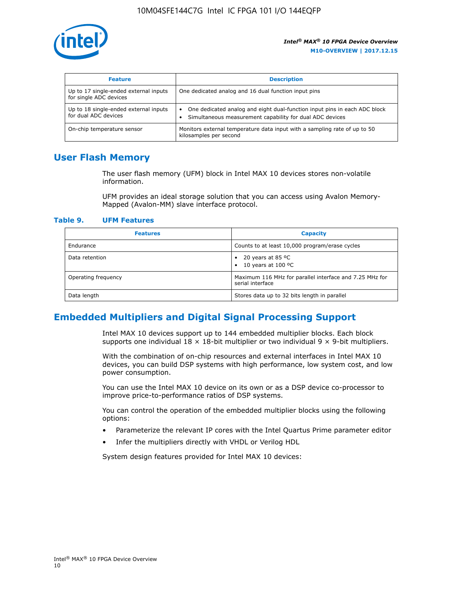

| <b>Feature</b>                                                  | <b>Description</b>                                                                                                                                 |
|-----------------------------------------------------------------|----------------------------------------------------------------------------------------------------------------------------------------------------|
| Up to 17 single-ended external inputs<br>for single ADC devices | One dedicated analog and 16 dual function input pins                                                                                               |
| Up to 18 single-ended external inputs<br>for dual ADC devices   | One dedicated analog and eight dual-function input pins in each ADC block<br>$\bullet$<br>Simultaneous measurement capability for dual ADC devices |
| On-chip temperature sensor                                      | Monitors external temperature data input with a sampling rate of up to 50<br>kilosamples per second                                                |

## **User Flash Memory**

The user flash memory (UFM) block in Intel MAX 10 devices stores non-volatile information.

UFM provides an ideal storage solution that you can access using Avalon Memory-Mapped (Avalon-MM) slave interface protocol.

#### **Table 9. UFM Features**

| <b>Features</b>     | <b>Capacity</b>                                                             |
|---------------------|-----------------------------------------------------------------------------|
| Endurance           | Counts to at least 10,000 program/erase cycles                              |
| Data retention      | 20 years at 85 $^{\circ}$ C<br>٠<br>10 years at 100 °C<br>$\bullet$         |
| Operating frequency | Maximum 116 MHz for parallel interface and 7.25 MHz for<br>serial interface |
| Data length         | Stores data up to 32 bits length in parallel                                |

## **Embedded Multipliers and Digital Signal Processing Support**

Intel MAX 10 devices support up to 144 embedded multiplier blocks. Each block supports one individual  $18 \times 18$ -bit multiplier or two individual  $9 \times 9$ -bit multipliers.

With the combination of on-chip resources and external interfaces in Intel MAX 10 devices, you can build DSP systems with high performance, low system cost, and low power consumption.

You can use the Intel MAX 10 device on its own or as a DSP device co-processor to improve price-to-performance ratios of DSP systems.

You can control the operation of the embedded multiplier blocks using the following options:

- Parameterize the relevant IP cores with the Intel Quartus Prime parameter editor
- Infer the multipliers directly with VHDL or Verilog HDL

System design features provided for Intel MAX 10 devices: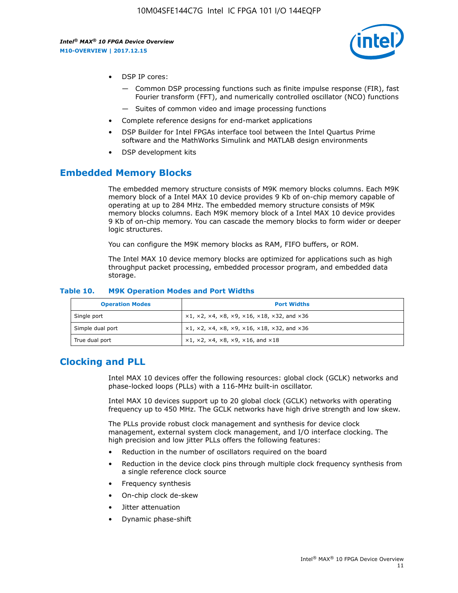

- DSP IP cores:
	- Common DSP processing functions such as finite impulse response (FIR), fast Fourier transform (FFT), and numerically controlled oscillator (NCO) functions
	- Suites of common video and image processing functions
- Complete reference designs for end-market applications
- DSP Builder for Intel FPGAs interface tool between the Intel Quartus Prime software and the MathWorks Simulink and MATLAB design environments
- DSP development kits

## **Embedded Memory Blocks**

The embedded memory structure consists of M9K memory blocks columns. Each M9K memory block of a Intel MAX 10 device provides 9 Kb of on-chip memory capable of operating at up to 284 MHz. The embedded memory structure consists of M9K memory blocks columns. Each M9K memory block of a Intel MAX 10 device provides 9 Kb of on-chip memory. You can cascade the memory blocks to form wider or deeper logic structures.

You can configure the M9K memory blocks as RAM, FIFO buffers, or ROM.

The Intel MAX 10 device memory blocks are optimized for applications such as high throughput packet processing, embedded processor program, and embedded data storage.

| <b>Operation Modes</b> | <b>Port Widths</b>                                                                       |
|------------------------|------------------------------------------------------------------------------------------|
| Single port            | $x1, x2, x4, x8, x9, x16, x18, x32, and x36$                                             |
| Simple dual port       | $x1, x2, x4, x8, x9, x16, x18, x32, and x36$                                             |
| True dual port         | $\times$ 1, $\times$ 2, $\times$ 4, $\times$ 8, $\times$ 9, $\times$ 16, and $\times$ 18 |

#### **Table 10. M9K Operation Modes and Port Widths**

## **Clocking and PLL**

Intel MAX 10 devices offer the following resources: global clock (GCLK) networks and phase-locked loops (PLLs) with a 116-MHz built-in oscillator.

Intel MAX 10 devices support up to 20 global clock (GCLK) networks with operating frequency up to 450 MHz. The GCLK networks have high drive strength and low skew.

The PLLs provide robust clock management and synthesis for device clock management, external system clock management, and I/O interface clocking. The high precision and low jitter PLLs offers the following features:

- Reduction in the number of oscillators required on the board
- Reduction in the device clock pins through multiple clock frequency synthesis from a single reference clock source
- Frequency synthesis
- On-chip clock de-skew
- Jitter attenuation
- Dynamic phase-shift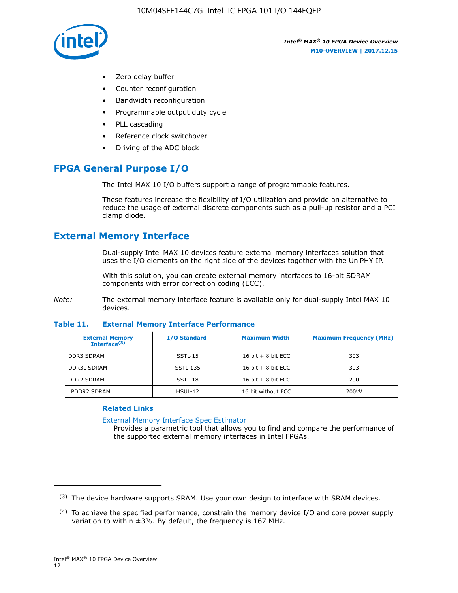

- Zero delay buffer
- Counter reconfiguration
- Bandwidth reconfiguration
- Programmable output duty cycle
- PLL cascading
- Reference clock switchover
- Driving of the ADC block

## **FPGA General Purpose I/O**

The Intel MAX 10 I/O buffers support a range of programmable features.

These features increase the flexibility of I/O utilization and provide an alternative to reduce the usage of external discrete components such as a pull-up resistor and a PCI clamp diode.

## **External Memory Interface**

Dual-supply Intel MAX 10 devices feature external memory interfaces solution that uses the I/O elements on the right side of the devices together with the UniPHY IP.

With this solution, you can create external memory interfaces to 16-bit SDRAM components with error correction coding (ECC).

*Note:* The external memory interface feature is available only for dual-supply Intel MAX 10 devices.

#### **Table 11. External Memory Interface Performance**

| <b>External Memory</b><br>Interface $(3)$ | <b>I/O Standard</b> | <b>Maximum Width</b> | <b>Maximum Frequency (MHz)</b> |
|-------------------------------------------|---------------------|----------------------|--------------------------------|
| <b>DDR3 SDRAM</b>                         | SSTL-15             | 16 bit $+8$ bit ECC  | 303                            |
| <b>DDR3L SDRAM</b>                        | SSTL-135            | 16 bit $+8$ bit ECC  | 303                            |
| <b>DDR2 SDRAM</b>                         | SSTL-18             | 16 bit $+8$ bit ECC  | 200                            |
| LPDDR2 SDRAM                              | $H$ SUL-12          | 16 bit without ECC   | $200^{(4)}$                    |

#### **Related Links**

[External Memory Interface Spec Estimator](http://www.altera.com/technology/memory/estimator/mem-emif-index.html)

Provides a parametric tool that allows you to find and compare the performance of the supported external memory interfaces in Intel FPGAs.

 $(3)$  The device hardware supports SRAM. Use your own design to interface with SRAM devices.

 $(4)$  To achieve the specified performance, constrain the memory device I/O and core power supply variation to within ±3%. By default, the frequency is 167 MHz.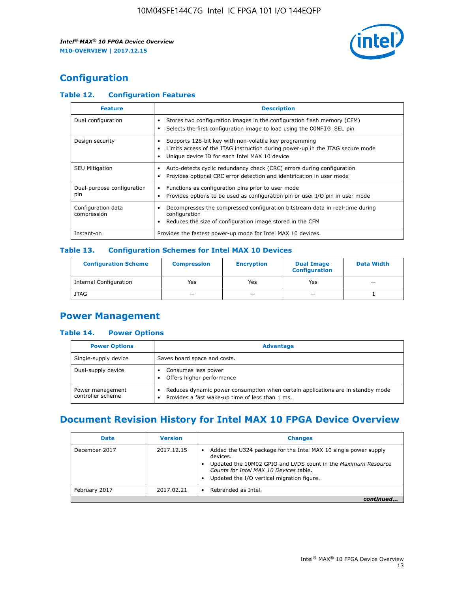

## **Configuration**

## **Table 12. Configuration Features**

| <b>Feature</b>                    | <b>Description</b>                                                                                                                                                                       |
|-----------------------------------|------------------------------------------------------------------------------------------------------------------------------------------------------------------------------------------|
| Dual configuration                | Stores two configuration images in the configuration flash memory (CFM)<br>Selects the first configuration image to load using the CONFIG SEL pin<br>$\bullet$                           |
| Design security                   | Supports 128-bit key with non-volatile key programming<br>Limits access of the JTAG instruction during power-up in the JTAG secure mode<br>Unique device ID for each Intel MAX 10 device |
| <b>SEU Mitigation</b>             | Auto-detects cyclic redundancy check (CRC) errors during configuration<br>Provides optional CRC error detection and identification in user mode                                          |
| Dual-purpose configuration<br>pin | Functions as configuration pins prior to user mode<br>Provides options to be used as configuration pin or user I/O pin in user mode                                                      |
| Configuration data<br>compression | Decompresses the compressed configuration bitstream data in real-time during<br>configuration<br>Reduces the size of configuration image stored in the CFM                               |
| Instant-on                        | Provides the fastest power-up mode for Intel MAX 10 devices.                                                                                                                             |

#### **Table 13. Configuration Schemes for Intel MAX 10 Devices**

| <b>Configuration Scheme</b> | <b>Compression</b> | <b>Encryption</b> | <b>Dual Image</b><br><b>Configuration</b> | <b>Data Width</b> |
|-----------------------------|--------------------|-------------------|-------------------------------------------|-------------------|
| Internal Configuration      | Yes                | Yes               | Yes                                       |                   |
| <b>JTAG</b>                 | _                  |                   | -                                         |                   |

## **Power Management**

## **Table 14. Power Options**

| <b>Power Options</b>                  | <b>Advantage</b>                                                                                                                                |  |
|---------------------------------------|-------------------------------------------------------------------------------------------------------------------------------------------------|--|
| Single-supply device                  | Saves board space and costs.                                                                                                                    |  |
| Dual-supply device                    | Consumes less power<br>Offers higher performance<br>$\bullet$                                                                                   |  |
| Power management<br>controller scheme | Reduces dynamic power consumption when certain applications are in standby mode<br>Provides a fast wake-up time of less than 1 ms.<br>$\bullet$ |  |

## **Document Revision History for Intel MAX 10 FPGA Device Overview**

| <b>Date</b>   | <b>Version</b> | <b>Changes</b>                                                                                                                                                                                                                       |
|---------------|----------------|--------------------------------------------------------------------------------------------------------------------------------------------------------------------------------------------------------------------------------------|
| December 2017 | 2017.12.15     | Added the U324 package for the Intel MAX 10 single power supply<br>devices.<br>Updated the 10M02 GPIO and LVDS count in the Maximum Resource<br>Counts for Intel MAX 10 Devices table.<br>Updated the I/O vertical migration figure. |
| February 2017 | 2017.02.21     | Rebranded as Intel.                                                                                                                                                                                                                  |
|               |                |                                                                                                                                                                                                                                      |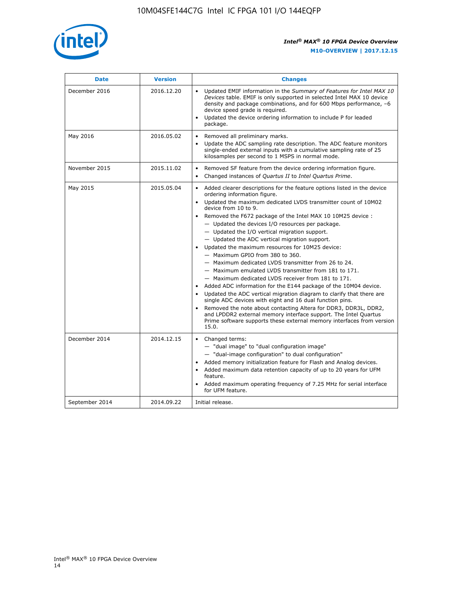

| <b>Date</b>    | <b>Version</b> | <b>Changes</b>                                                                                                                                                                                                                                                                                                                                                                                                                                                                                                                                                                                                                                                                                                                                                                                                                                                                                                                                                                                                                                                                                                  |
|----------------|----------------|-----------------------------------------------------------------------------------------------------------------------------------------------------------------------------------------------------------------------------------------------------------------------------------------------------------------------------------------------------------------------------------------------------------------------------------------------------------------------------------------------------------------------------------------------------------------------------------------------------------------------------------------------------------------------------------------------------------------------------------------------------------------------------------------------------------------------------------------------------------------------------------------------------------------------------------------------------------------------------------------------------------------------------------------------------------------------------------------------------------------|
| December 2016  | 2016.12.20     | • Updated EMIF information in the Summary of Features for Intel MAX 10<br>Devices table. EMIF is only supported in selected Intel MAX 10 device<br>density and package combinations, and for 600 Mbps performance, -6<br>device speed grade is required.<br>Updated the device ordering information to include P for leaded<br>package.                                                                                                                                                                                                                                                                                                                                                                                                                                                                                                                                                                                                                                                                                                                                                                         |
| May 2016       | 2016.05.02     | Removed all preliminary marks.<br>Update the ADC sampling rate description. The ADC feature monitors<br>single-ended external inputs with a cumulative sampling rate of 25<br>kilosamples per second to 1 MSPS in normal mode.                                                                                                                                                                                                                                                                                                                                                                                                                                                                                                                                                                                                                                                                                                                                                                                                                                                                                  |
| November 2015  | 2015.11.02     | Removed SF feature from the device ordering information figure.<br>Changed instances of Quartus II to Intel Quartus Prime.<br>$\bullet$                                                                                                                                                                                                                                                                                                                                                                                                                                                                                                                                                                                                                                                                                                                                                                                                                                                                                                                                                                         |
| May 2015       | 2015.05.04     | Added clearer descriptions for the feature options listed in the device<br>ordering information figure.<br>Updated the maximum dedicated LVDS transmitter count of 10M02<br>device from 10 to 9.<br>Removed the F672 package of the Intel MAX 10 10M25 device :<br>- Updated the devices I/O resources per package.<br>- Updated the I/O vertical migration support.<br>- Updated the ADC vertical migration support.<br>Updated the maximum resources for 10M25 device:<br>- Maximum GPIO from 380 to 360.<br>- Maximum dedicated LVDS transmitter from 26 to 24.<br>- Maximum emulated LVDS transmitter from 181 to 171.<br>- Maximum dedicated LVDS receiver from 181 to 171.<br>Added ADC information for the E144 package of the 10M04 device.<br>Updated the ADC vertical migration diagram to clarify that there are<br>single ADC devices with eight and 16 dual function pins.<br>Removed the note about contacting Altera for DDR3, DDR3L, DDR2,<br>and LPDDR2 external memory interface support. The Intel Quartus<br>Prime software supports these external memory interfaces from version<br>15.0. |
| December 2014  | 2014.12.15     | Changed terms:<br>$\bullet$<br>- "dual image" to "dual configuration image"<br>- "dual-image configuration" to dual configuration"<br>Added memory initialization feature for Flash and Analog devices.<br>Added maximum data retention capacity of up to 20 years for UFM<br>feature.<br>Added maximum operating frequency of 7.25 MHz for serial interface<br>for UFM feature.                                                                                                                                                                                                                                                                                                                                                                                                                                                                                                                                                                                                                                                                                                                                |
| September 2014 | 2014.09.22     | Initial release.                                                                                                                                                                                                                                                                                                                                                                                                                                                                                                                                                                                                                                                                                                                                                                                                                                                                                                                                                                                                                                                                                                |